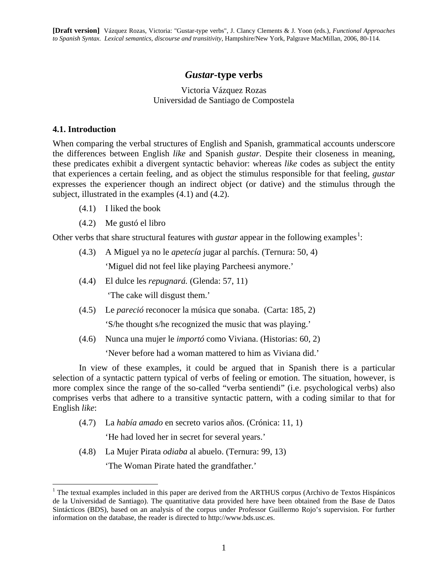# *Gustar***-type verbs**

Victoria Vázquez Rozas Universidad de Santiago de Compostela

### **4.1. Introduction**

 $\overline{a}$ 

When comparing the verbal structures of English and Spanish, grammatical accounts underscore the differences between English *like* and Spanish *gustar*. Despite their closeness in meaning, these predicates exhibit a divergent syntactic behavior: whereas *like* codes as subject the entity that experiences a certain feeling, and as object the stimulus responsible for that feeling, *gustar* expresses the experiencer though an indirect object (or dative) and the stimulus through the subject, illustrated in the examples (4.1) and (4.2).

- (4.1) I liked the book
- (4.2) Me gustó el libro

Other verbs that share structural features with *gustar* appear in the following examples<sup>[1](#page-0-0)</sup>:

- (4.3) A Miguel ya no le *apetecía* jugar al parchís. (Ternura: 50, 4) 'Miguel did not feel like playing Parcheesi anymore.'
- (4.4) El dulce les *repugnará.* (Glenda: 57, 11) 'The cake will disgust them.'
- (4.5) Le *pareció* reconocer la música que sonaba. (Carta: 185, 2)

'S/he thought s/he recognized the music that was playing.'

(4.6) Nunca una mujer le *importó* como Viviana. (Historias: 60, 2)

'Never before had a woman mattered to him as Viviana did.'

 In view of these examples, it could be argued that in Spanish there is a particular selection of a syntactic pattern typical of verbs of feeling or emotion. The situation, however, is more complex since the range of the so-called "verba sentiendi" (i.e. psychological verbs) also comprises verbs that adhere to a transitive syntactic pattern, with a coding similar to that for English *like*:

(4.7) La *había amado* en secreto varios años. (Crónica: 11, 1)

'He had loved her in secret for several years.'

(4.8) La Mujer Pirata *odiaba* al abuelo. (Ternura: 99, 13)

'The Woman Pirate hated the grandfather.'

<span id="page-0-0"></span><sup>&</sup>lt;sup>1</sup> The textual examples included in this paper are derived from the ARTHUS corpus (Archivo de Textos Hispánicos de la Universidad de Santiago). The quantitative data provided here have been obtained from the Base de Datos Sintácticos (BDS), based on an analysis of the corpus under Professor Guillermo Rojo's supervision. For further information on the database, the reader is directed to http://www.bds.usc.es.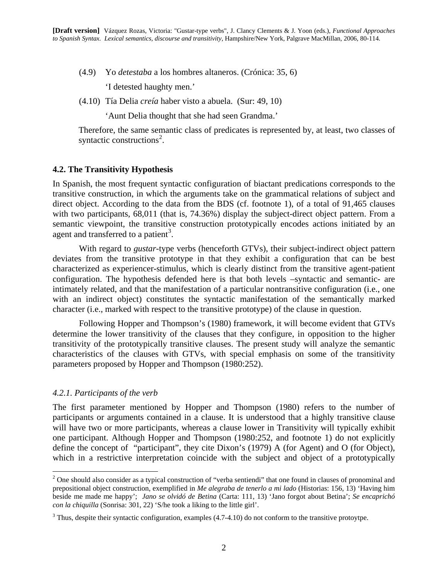(4.9) Yo *detestaba* a los hombres altaneros. (Crónica: 35, 6)

'I detested haughty men.'

(4.10) Tía Delia *creía* haber visto a abuela. (Sur: 49, 10)

'Aunt Delia thought that she had seen Grandma.'

Therefore, the same semantic class of predicates is represented by, at least, two classes of syntactic constructions<sup>[2](#page-1-0)</sup>.

## **4.2. The Transitivity Hypothesis**

In Spanish, the most frequent syntactic configuration of biactant predications corresponds to the transitive construction, in which the arguments take on the grammatical relations of subject and direct object. According to the data from the BDS (cf. footnote 1), of a total of 91,465 clauses with two participants, 68,011 (that is, 74.36%) display the subject-direct object pattern. From a semantic viewpoint, the transitive construction prototypically encodes actions initiated by an agent and transferred to a patient<sup>[3](#page-1-1)</sup>.

 With regard to *gustar*-type verbs (henceforth GTVs), their subject-indirect object pattern deviates from the transitive prototype in that they exhibit a configuration that can be best characterized as experiencer-stimulus, which is clearly distinct from the transitive agent-patient configuration. The hypothesis defended here is that both levels –syntactic and semantic- are intimately related, and that the manifestation of a particular nontransitive configuration (i.e., one with an indirect object) constitutes the syntactic manifestation of the semantically marked character (i.e., marked with respect to the transitive prototype) of the clause in question.

 Following Hopper and Thompson's (1980) framework, it will become evident that GTVs determine the lower transitivity of the clauses that they configure, in opposition to the higher transitivity of the prototypically transitive clauses. The present study will analyze the semantic characteristics of the clauses with GTVs, with special emphasis on some of the transitivity parameters proposed by Hopper and Thompson (1980:252).

### *4.2.1. Participants of the verb*

 $\overline{a}$ 

The first parameter mentioned by Hopper and Thompson (1980) refers to the number of participants or arguments contained in a clause. It is understood that a highly transitive clause will have two or more participants, whereas a clause lower in Transitivity will typically exhibit one participant. Although Hopper and Thompson (1980:252, and footnote 1) do not explicitly define the concept of "participant", they cite Dixon's (1979) A (for Agent) and O (for Object), which in a restrictive interpretation coincide with the subject and object of a prototypically

<span id="page-1-0"></span> $2^2$  One should also consider as a typical construction of "verba sentiendi" that one found in clauses of pronominal and prepositional object construction, exemplified in *Me alegraba de tenerlo a mi lado* (Historias: 156, 13) 'Having him beside me made me happy'; *Jano se olvidó de Betina* (Carta: 111, 13) 'Jano forgot about Betina'; *Se encaprichó con la chiquilla* (Sonrisa: 301, 22) 'S/he took a liking to the little girl'.

<span id="page-1-1"></span> $3$  Thus, despite their syntactic configuration, examples (4.7-4.10) do not conform to the transitive protoytpe.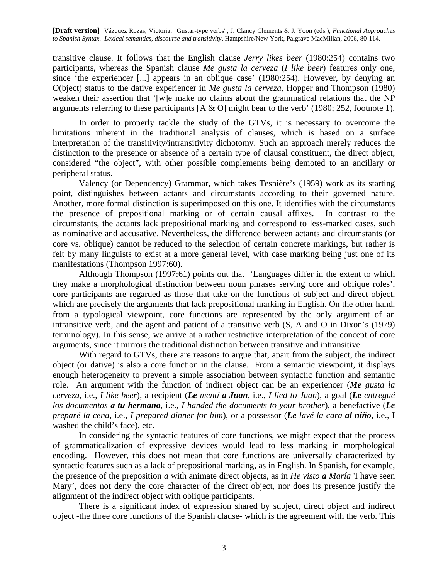transitive clause. It follows that the English clause *Jerry likes beer* (1980:254) contains two participants, whereas the Spanish clause *Me gusta la cerveza* (*I like beer*) features only one, since 'the experiencer [...] appears in an oblique case' (1980:254). However, by denying an O(bject) status to the dative experiencer in *Me gusta la cerveza*, Hopper and Thompson (1980) weaken their assertion that '[w]e make no claims about the grammatical relations that the NP arguments referring to these participants [A & O] might bear to the verb' (1980; 252, footnote 1).

 In order to properly tackle the study of the GTVs, it is necessary to overcome the limitations inherent in the traditional analysis of clauses, which is based on a surface interpretation of the transitivity/intransitivity dichotomy. Such an approach merely reduces the distinction to the presence or absence of a certain type of clausal constituent, the direct object, considered "the object", with other possible complements being demoted to an ancillary or peripheral status.

 Valency (or Dependency) Grammar, which takes Tesnière's (1959) work as its starting point, distinguishes between actants and circumstants according to their governed nature. Another, more formal distinction is superimposed on this one. It identifies with the circumstants the presence of prepositional marking or of certain causal affixes. In contrast to the circumstants, the actants lack prepositional marking and correspond to less-marked cases, such as nominative and accusative. Nevertheless, the difference between actants and circumstants (or core vs. oblique) cannot be reduced to the selection of certain concrete markings, but rather is felt by many linguists to exist at a more general level, with case marking being just one of its manifestations (Thompson 1997:60).

 Although Thompson (1997:61) points out that 'Languages differ in the extent to which they make a morphological distinction between noun phrases serving core and oblique roles', core participants are regarded as those that take on the functions of subject and direct object, which are precisely the arguments that lack prepositional marking in English. On the other hand, from a typological viewpoint, core functions are represented by the only argument of an intransitive verb, and the agent and patient of a transitive verb (S, A and O in Dixon's (1979) terminology). In this sense, we arrive at a rather restrictive interpretation of the concept of core arguments, since it mirrors the traditional distinction between transitive and intransitive.

 With regard to GTVs, there are reasons to argue that, apart from the subject, the indirect object (or dative) is also a core function in the clause. From a semantic viewpoint, it displays enough heterogeneity to prevent a simple association between syntactic function and semantic role. An argument with the function of indirect object can be an experiencer (*Me gusta la cerveza*, i.e., *I like beer*), a recipient (*Le mentí a Juan*, i.e., *I lied to Juan*), a goal (*Le entregué los documentos a tu hermano*, i.e., *I handed the documents to your brother*), a benefactive (*Le preparé la cena*, i.e., *I prepared dinner for him*), or a possessor (*Le lavé la cara al niño*, i.e., I washed the child's face), etc.

 In considering the syntactic features of core functions, we might expect that the process of grammaticalization of expressive devices would lead to less marking in morphological encoding. However, this does not mean that core functions are universally characterized by syntactic features such as a lack of prepositional marking, as in English. In Spanish, for example, the presence of the preposition *a* with animate direct objects, as in *He visto a María* 'I have seen Mary', does not deny the core character of the direct object, nor does its presence justify the alignment of the indirect object with oblique participants.

 There is a significant index of expression shared by subject, direct object and indirect object -the three core functions of the Spanish clause- which is the agreement with the verb. This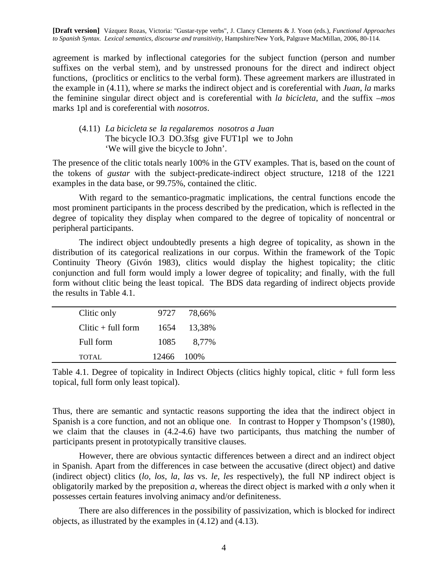agreement is marked by inflectional categories for the subject function (person and number suffixes on the verbal stem), and by unstressed pronouns for the direct and indirect object functions, (proclitics or enclitics to the verbal form). These agreement markers are illustrated in the example in (4.11), where *se* marks the indirect object and is coreferential with *Juan*, *la* marks the feminine singular direct object and is coreferential with *la bicicleta*, and the suffix *–mos* marks 1pl and is coreferential with *nosotros*.

#### (4.11) *La bicicleta se la regalaremos nosotros a Juan*  The bicycle IO.3 DO.3fsg give FUT1pl we to John 'We will give the bicycle to John'.

The presence of the clitic totals nearly 100% in the GTV examples. That is, based on the count of the tokens of *gustar* with the subject-predicate-indirect object structure, 1218 of the 1221 examples in the data base, or 99.75%, contained the clitic.

 With regard to the semantico-pragmatic implications, the central functions encode the most prominent participants in the process described by the predication, which is reflected in the degree of topicality they display when compared to the degree of topicality of noncentral or peripheral participants.

 The indirect object undoubtedly presents a high degree of topicality, as shown in the distribution of its categorical realizations in our corpus. Within the framework of the Topic Continuity Theory (Givón 1983), clitics would display the highest topicality; the clitic conjunction and full form would imply a lower degree of topicality; and finally, with the full form without clitic being the least topical. The BDS data regarding of indirect objects provide the results in Table 4.1.

| Clitic only          | 9727  | 78,66% |
|----------------------|-------|--------|
| $Clitic + full form$ | 1654  | 13,38% |
| Full form            | 1085  | 8,77%  |
| <b>TOTAL</b>         | 12466 | 100%   |
|                      |       |        |



Thus, there are semantic and syntactic reasons supporting the idea that the indirect object in Spanish is a core function, and not an oblique one. In contrast to Hopper y Thompson's (1980), we claim that the clauses in (4.2-4.6) have two participants, thus matching the number of participants present in prototypically transitive clauses.

 However, there are obvious syntactic differences between a direct and an indirect object in Spanish. Apart from the differences in case between the accusative (direct object) and dative (indirect object) clitics (*lo, los, la, las* vs. *le, les* respectively), the full NP indirect object is obligatorily marked by the preposition *a*, whereas the direct object is marked with *a* only when it possesses certain features involving animacy and/or definiteness.

 There are also differences in the possibility of passivization, which is blocked for indirect objects, as illustrated by the examples in (4.12) and (4.13).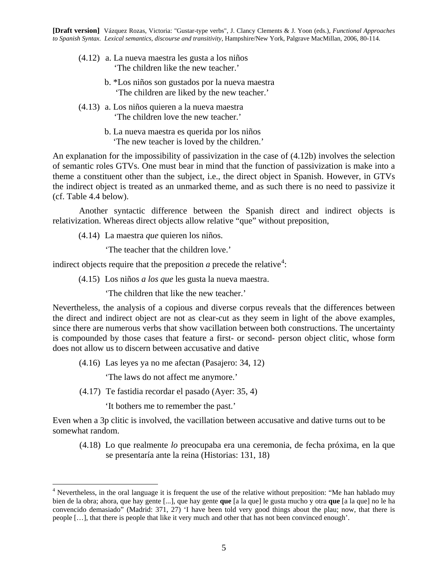- (4.12) a. La nueva maestra les gusta a los niños 'The children like the new teacher.'
	- b. \*Los niños son gustados por la nueva maestra 'The children are liked by the new teacher.'
- (4.13) a. Los niños quieren a la nueva maestra 'The children love the new teacher.'
	- b. La nueva maestra es querida por los niños 'The new teacher is loved by the children.'

An explanation for the impossibility of passivization in the case of (4.12b) involves the selection of semantic roles GTVs. One must bear in mind that the function of passivization is make into a theme a constituent other than the subject, i.e., the direct object in Spanish. However, in GTVs the indirect object is treated as an unmarked theme, and as such there is no need to passivize it (cf. Table 4.4 below).

 Another syntactic difference between the Spanish direct and indirect objects is relativization. Whereas direct objects allow relative "que" without preposition,

(4.14) La maestra *que* quieren los niños.

'The teacher that the children love.'

indirect objects require that the preposition  $a$  precede the relative<sup>[4](#page-4-0)</sup>:

(4.15) Los niños *a los que* les gusta la nueva maestra.

'The children that like the new teacher.'

Nevertheless, the analysis of a copious and diverse corpus reveals that the differences between the direct and indirect object are not as clear-cut as they seem in light of the above examples, since there are numerous verbs that show vacillation between both constructions. The uncertainty is compounded by those cases that feature a first- or second- person object clitic, whose form does not allow us to discern between accusative and dative

(4.16) Las leyes ya no me afectan (Pasajero: 34, 12)

'The laws do not affect me anymore.'

(4.17) Te fastidia recordar el pasado (Ayer: 35, 4)

'It bothers me to remember the past.'

<u>.</u>

Even when a 3p clitic is involved, the vacillation between accusative and dative turns out to be somewhat random.

(4.18) Lo que realmente *lo* preocupaba era una ceremonia, de fecha próxima, en la que se presentaría ante la reina (Historias: 131, 18)

<span id="page-4-0"></span><sup>&</sup>lt;sup>4</sup> Nevertheless, in the oral language it is frequent the use of the relative without preposition: "Me han hablado muy bien de la obra; ahora, que hay gente [...], que hay gente **que** [a la que] le gusta mucho y otra **que** [a la que] no le ha convencido demasiado" (Madrid: 371, 27) 'I have been told very good things about the plau; now, that there is people […], that there is people that like it very much and other that has not been convinced enough'.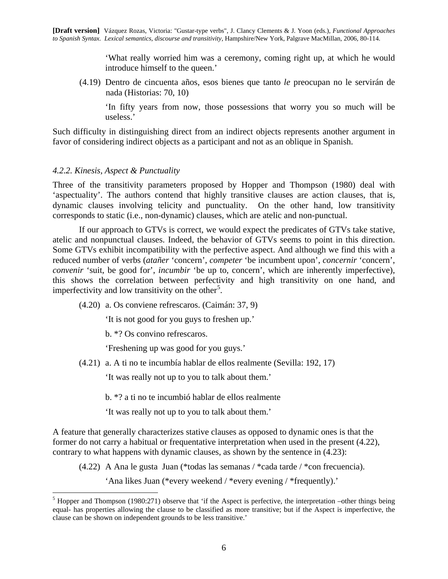'What really worried him was a ceremony, coming right up, at which he would introduce himself to the queen.'

(4.19) Dentro de cincuenta años, esos bienes que tanto *le* preocupan no le servirán de nada (Historias: 70, 10)

'In fifty years from now, those possessions that worry you so much will be useless.'

Such difficulty in distinguishing direct from an indirect objects represents another argument in favor of considering indirect objects as a participant and not as an oblique in Spanish.

### *4.2.2. Kinesis, Aspect & Punctuality*

 $\overline{a}$ 

Three of the transitivity parameters proposed by Hopper and Thompson (1980) deal with 'aspectuality'. The authors contend that highly transitive clauses are action clauses, that is, dynamic clauses involving telicity and punctuality. On the other hand, low transitivity corresponds to static (i.e., non-dynamic) clauses, which are atelic and non-punctual.

 If our approach to GTVs is correct, we would expect the predicates of GTVs take stative, atelic and nonpunctual clauses. Indeed, the behavior of GTVs seems to point in this direction. Some GTVs exhibit incompatibility with the perfective aspect. And although we find this with a reduced number of verbs (*atañer* 'concern', *competer* 'be incumbent upon', *concernir* 'concern', *convenir* 'suit, be good for', *incumbir* 'be up to, concern', which are inherently imperfective), this shows the correlation between perfectivity and high transitivity on one hand, and imperfectivity and low transitivity on the other<sup>[5](#page-5-0)</sup>.

(4.20) a. Os conviene refrescaros. (Caimán: 37, 9)

'It is not good for you guys to freshen up.'

b. \*? Os convino refrescaros.

'Freshening up was good for you guys.'

(4.21) a. A ti no te incumbía hablar de ellos realmente (Sevilla: 192, 17)

'It was really not up to you to talk about them.'

b. \*? a ti no te incumbió hablar de ellos realmente

'It was really not up to you to talk about them.'

A feature that generally characterizes stative clauses as opposed to dynamic ones is that the former do not carry a habitual or frequentative interpretation when used in the present (4.22), contrary to what happens with dynamic clauses, as shown by the sentence in (4.23):

(4.22) A Ana le gusta Juan (\*todas las semanas / \*cada tarde / \*con frecuencia).

'Ana likes Juan (\*every weekend / \*every evening / \*frequently).'

<span id="page-5-0"></span> $<sup>5</sup>$  Hopper and Thompson (1980:271) observe that 'if the Aspect is perfective, the interpretation –other things being</sup> equal- has properties allowing the clause to be classified as more transitive; but if the Aspect is imperfective, the clause can be shown on independent grounds to be less transitive.'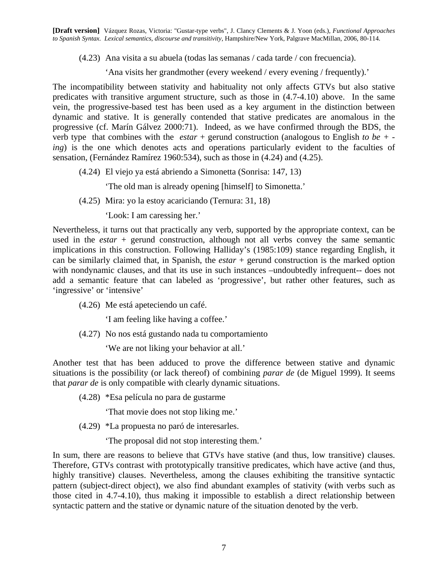(4.23) Ana visita a su abuela (todas las semanas / cada tarde / con frecuencia).

'Ana visits her grandmother (every weekend / every evening / frequently).'

The incompatibility between stativity and habituality not only affects GTVs but also stative predicates with transitive argument structure, such as those in (4.7-4.10) above. In the same vein, the progressive-based test has been used as a key argument in the distinction between dynamic and stative. It is generally contended that stative predicates are anomalous in the progressive (cf. Marín Gálvez 2000:71). Indeed, as we have confirmed through the BDS, the verb type that combines with the *estar* + gerund construction (analogous to English *to be + ing*) is the one which denotes acts and operations particularly evident to the faculties of sensation, (Fernández Ramírez 1960:534), such as those in (4.24) and (4.25).

(4.24) El viejo ya está abriendo a Simonetta (Sonrisa: 147, 13)

'The old man is already opening [himself] to Simonetta.'

(4.25) Mira: yo la estoy acariciando (Ternura: 31, 18)

'Look: I am caressing her.'

Nevertheless, it turns out that practically any verb, supported by the appropriate context, can be used in the *estar* + gerund construction, although not all verbs convey the same semantic implications in this construction. Following Halliday's (1985:109) stance regarding English, it can be similarly claimed that, in Spanish, the *estar* + gerund construction is the marked option with nondynamic clauses, and that its use in such instances –undoubtedly infrequent-- does not add a semantic feature that can labeled as 'progressive', but rather other features, such as 'ingressive' or 'intensive'

(4.26) Me está apeteciendo un café.

'I am feeling like having a coffee.'

(4.27) No nos está gustando nada tu comportamiento

'We are not liking your behavior at all.'

Another test that has been adduced to prove the difference between stative and dynamic situations is the possibility (or lack thereof) of combining *parar de* (de Miguel 1999). It seems that *parar de* is only compatible with clearly dynamic situations.

(4.28) \*Esa película no para de gustarme

'That movie does not stop liking me.'

(4.29) \*La propuesta no paró de interesarles.

'The proposal did not stop interesting them.'

In sum, there are reasons to believe that GTVs have stative (and thus, low transitive) clauses. Therefore, GTVs contrast with prototypically transitive predicates, which have active (and thus, highly transitive) clauses. Nevertheless, among the clauses exhibiting the transitive syntactic pattern (subject-direct object), we also find abundant examples of stativity (with verbs such as those cited in 4.7-4.10), thus making it impossible to establish a direct relationship between syntactic pattern and the stative or dynamic nature of the situation denoted by the verb.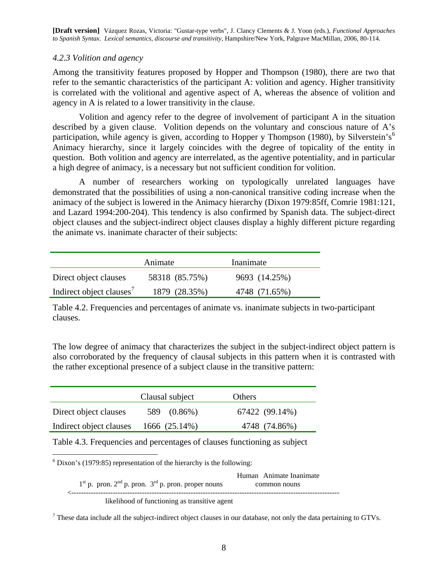### *4.2.3 Volition and agency*

Among the transitivity features proposed by Hopper and Thompson (1980), there are two that refer to the semantic characteristics of the participant A: volition and agency. Higher transitivity is correlated with the volitional and agentive aspect of A, whereas the absence of volition and agency in A is related to a lower transitivity in the clause.

 Volition and agency refer to the degree of involvement of participant A in the situation described by a given clause. Volition depends on the voluntary and conscious nature of A's participation, while agency is given, according to Hopper y Thompson (1980), by Silverstein's<sup>[6](#page-7-0)</sup> Animacy hierarchy, since it largely coincides with the degree of topicality of the entity in question. Both volition and agency are interrelated, as the agentive potentiality, and in particular a high degree of animacy, is a necessary but not sufficient condition for volition.

 A number of researchers working on typologically unrelated languages have demonstrated that the possibilities of using a non-canonical transitive coding increase when the animacy of the subject is lowered in the Animacy hierarchy (Dixon 1979:85ff, Comrie 1981:121, and Lazard 1994:200-204). This tendency is also confirmed by Spanish data. The subject-direct object clauses and the subject-indirect object clauses display a highly different picture regarding the animate vs. inanimate character of their subjects:

|                          | Animate        | Inanimate     |
|--------------------------|----------------|---------------|
| Direct object clauses    | 58318 (85.75%) | 9693 (14.25%) |
| Indirect object clauses' | 1879 (28.35%)  | 4748 (71.65%) |

Table 4.2. Frequencies and percentages of animate vs. inanimate subjects in two-participant clauses.

The low degree of animacy that characterizes the subject in the subject-indirect object pattern is also corroborated by the frequency of clausal subjects in this pattern when it is contrasted with the rather exceptional presence of a subject clause in the transitive pattern:

|                         | Clausal subject | <b>Others</b>  |
|-------------------------|-----------------|----------------|
| Direct object clauses   | 589 (0.86%)     | 67422 (99.14%) |
| Indirect object clauses | 1666 (25.14%)   | 4748 (74.86%)  |

Table 4.3. Frequencies and percentages of clauses functioning as subject

<span id="page-7-0"></span> $6$  Dixon's (1979:85) representation of the hierarchy is the following:

 $\overline{a}$ 

| $1st$ p. pron. $2nd$ p. pron. $3rd$ p. pron. proper nouns | Human Animate Inanimate<br>common nouns |
|-----------------------------------------------------------|-----------------------------------------|
| likelihood of functioning as transitive agent             |                                         |

<span id="page-7-1"></span><sup>7</sup> These data include all the subject-indirect object clauses in our database, not only the data pertaining to GTVs.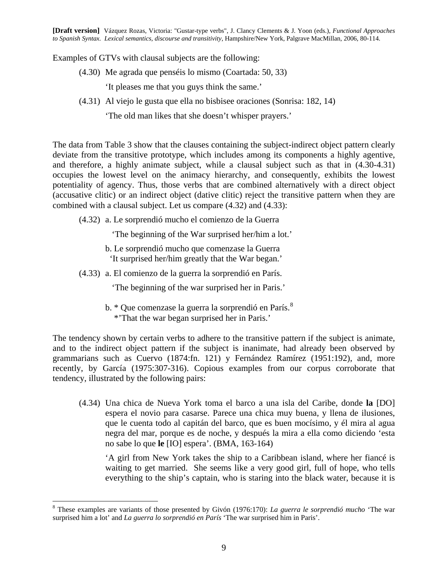Examples of GTVs with clausal subjects are the following:

(4.30) Me agrada que penséis lo mismo (Coartada: 50, 33)

'It pleases me that you guys think the same.'

(4.31) Al viejo le gusta que ella no bisbisee oraciones (Sonrisa: 182, 14)

'The old man likes that she doesn't whisper prayers.'

The data from Table 3 show that the clauses containing the subject-indirect object pattern clearly deviate from the transitive prototype, which includes among its components a highly agentive, and therefore, a highly animate subject, while a clausal subject such as that in (4.30-4.31) occupies the lowest level on the animacy hierarchy, and consequently, exhibits the lowest potentiality of agency. Thus, those verbs that are combined alternatively with a direct object (accusative clitic) or an indirect object (dative clitic) reject the transitive pattern when they are combined with a clausal subject. Let us compare (4.32) and (4.33):

(4.32) a. Le sorprendió mucho el comienzo de la Guerra

'The beginning of the War surprised her/him a lot.'

- b. Le sorprendió mucho que comenzase la Guerra 'It surprised her/him greatly that the War began.'
- (4.33) a. El comienzo de la guerra la sorprendió en París.

 $\overline{a}$ 

'The beginning of the war surprised her in Paris.'

b. \* Que comenzase la guerra la sorprendió en París.<sup>[8](#page-8-0)</sup> \*'That the war began surprised her in Paris.'

The tendency shown by certain verbs to adhere to the transitive pattern if the subject is animate, and to the indirect object pattern if the subject is inanimate, had already been observed by grammarians such as Cuervo (1874:fn. 121) y Fernández Ramírez (1951:192), and, more recently, by García (1975:307-316). Copious examples from our corpus corroborate that tendency, illustrated by the following pairs:

(4.34) Una chica de Nueva York toma el barco a una isla del Caribe, donde **la** [DO] espera el novio para casarse. Parece una chica muy buena, y llena de ilusiones, que le cuenta todo al capitán del barco, que es buen mocísimo, y él mira al agua negra del mar, porque es de noche, y después la mira a ella como diciendo 'esta no sabe lo que **le** [IO] espera'. (BMA, 163-164)

'A girl from New York takes the ship to a Caribbean island, where her fiancé is waiting to get married. She seems like a very good girl, full of hope, who tells everything to the ship's captain, who is staring into the black water, because it is

<span id="page-8-0"></span><sup>8</sup> These examples are variants of those presented by Givón (1976:170): *La guerra le sorprendió mucho* 'The war surprised him a lot' and *La guerra lo sorprendió en París* 'The war surprised him in Paris'*.*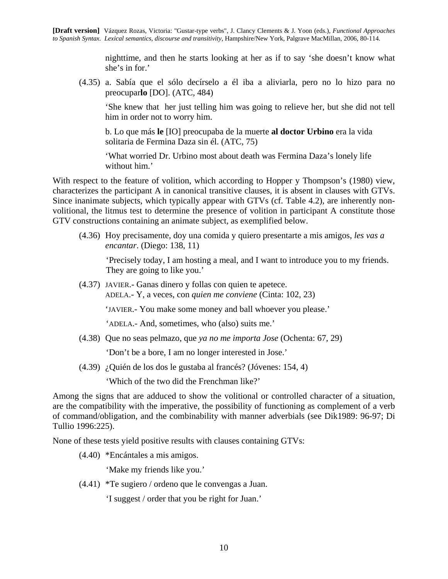nighttime, and then he starts looking at her as if to say 'she doesn't know what she's in for.'

(4.35) a. Sabía que el sólo decírselo a él iba a aliviarla, pero no lo hizo para no preocupar**lo** [DO]. (ATC, 484)

'She knew that her just telling him was going to relieve her, but she did not tell him in order not to worry him.

b. Lo que más **le** [IO] preocupaba de la muerte **al doctor Urbino** era la vida solitaria de Fermina Daza sin él. (ATC, 75)

'What worried Dr. Urbino most about death was Fermina Daza's lonely life without him.'

With respect to the feature of volition, which according to Hopper y Thompson's (1980) view, characterizes the participant A in canonical transitive clauses, it is absent in clauses with GTVs. Since inanimate subjects, which typically appear with GTVs (cf. Table 4.2), are inherently nonvolitional, the litmus test to determine the presence of volition in participant A constitute those GTV constructions containing an animate subject, as exemplified below.

(4.36) Hoy precisamente, doy una comida y quiero presentarte a mis amigos, *les vas a encantar*. (Diego: 138, 11)

'Precisely today, I am hosting a meal, and I want to introduce you to my friends. They are going to like you.'

(4.37) JAVIER.- Ganas dinero y follas con quien te apetece. ADELA.- Y, a veces, con *quien me conviene* (Cinta: 102, 23)

'JAVIER.- You make some money and ball whoever you please.'

'ADELA.- And, sometimes, who (also) suits me.'

(4.38) Que no seas pelmazo, que *ya no me importa Jose* (Ochenta: 67, 29)

'Don't be a bore, I am no longer interested in Jose.'

(4.39) ¿Quién de los dos le gustaba al francés? (Jóvenes: 154, 4)

'Which of the two did the Frenchman like?'

Among the signs that are adduced to show the volitional or controlled character of a situation, are the compatibility with the imperative, the possibility of functioning as complement of a verb of command/obligation, and the combinability with manner adverbials (see Dik1989: 96-97; Di Tullio 1996:225).

None of these tests yield positive results with clauses containing GTVs:

(4.40) \*Encántales a mis amigos.

'Make my friends like you.'

(4.41) \*Te sugiero / ordeno que le convengas a Juan.

'I suggest / order that you be right for Juan.'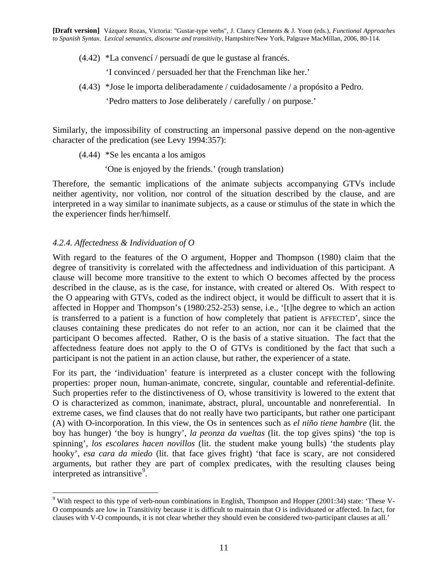(4.42) \*La convencí / persuadí de que le gustase al francés.

'I convinced / persuaded her that the Frenchman like her.'

(4.43) \*Jose le importa deliberadamente / cuidadosamente / a propósito a Pedro.

'Pedro matters to Jose deliberately / carefully / on purpose.'

Similarly, the impossibility of constructing an impersonal passive depend on the non-agentive character of the predication (see Levy 1994:357):

(4.44) \*Se les encanta a los amigos

'One is enjoyed by the friends.' (rough translation)

Therefore, the semantic implications of the animate subjects accompanying GTVs include neither agentivity, nor volition, nor control of the situation described by the clause, and are interpreted in a way similar to inanimate subjects, as a cause or stimulus of the state in which the the experiencer finds her/himself.

## *4.2.4. Affectedness & Individuation of O*

 $\overline{a}$ 

With regard to the features of the O argument, Hopper and Thompson (1980) claim that the degree of transitivity is correlated with the affectedness and individuation of this participant. A clause will become more transitive to the extent to which O becomes affected by the process described in the clause, as is the case, for instance, with created or altered Os. With respect to the O appearing with GTVs, coded as the indirect object, it would be difficult to assert that it is affected in Hopper and Thompson's (1980:252-253) sense, i.e., '[t]he degree to which an action is transferred to a patient is a function of how completely that patient is AFFECTED', since the clauses containing these predicates do not refer to an action, nor can it be claimed that the participant O becomes affected. Rather, O is the basis of a stative situation. The fact that the affectedness feature does not apply to the O of GTVs is conditioned by the fact that such a participant is not the patient in an action clause, but rather, the experiencer of a state.

For its part, the 'individuation' feature is interpreted as a cluster concept with the following properties: proper noun, human-animate, concrete, singular, countable and referential-definite. Such properties refer to the distinctiveness of O, whose transitivity is lowered to the extent that O is characterized as common, inanimate, abstract, plural, uncountable and nonreferential. In extreme cases, we find clauses that do not really have two participants, but rather one participant (A) with O-incorporation. In this view, the Os in sentences such as *el niño tiene hambre* (lit. the boy has hunger) 'the boy is hungry', *la peonza da vueltas* (lit. the top gives spins) 'the top is spinning', *los escolares hacen novillos* (lit. the student make young bulls) 'the students play hooky', *esa cara da miedo* (lit. that face gives fright) 'that face is scary, are not considered arguments, but rather they are part of complex predicates, with the resulting clauses being interpreted as intransitive<sup>[9](#page-10-0)</sup>.

<span id="page-10-0"></span><sup>&</sup>lt;sup>9</sup> With respect to this type of verb-noun combinations in English, Thompson and Hopper (2001:34) state: 'These V-O compounds are low in Transitivity because it is difficult to maintain that O is individuated or affected. In fact, for clauses with V-O compounds, it is not clear whether they should even be considered two-participant clauses at all.'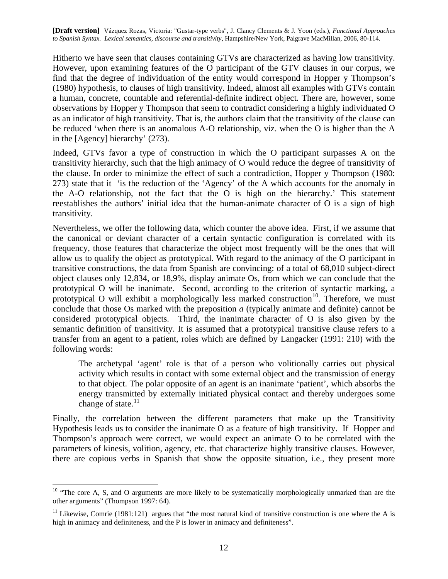Hitherto we have seen that clauses containing GTVs are characterized as having low transitivity. However, upon examining features of the O participant of the GTV clauses in our corpus, we find that the degree of individuation of the entity would correspond in Hopper y Thompson's (1980) hypothesis, to clauses of high transitivity. Indeed, almost all examples with GTVs contain a human, concrete, countable and referential-definite indirect object. There are, however, some observations by Hopper y Thompson that seem to contradict considering a highly individuated O as an indicator of high transitivity. That is, the authors claim that the transitivity of the clause can be reduced 'when there is an anomalous A-O relationship, viz. when the O is higher than the A in the [Agency] hierarchy' (273).

Indeed, GTVs favor a type of construction in which the O participant surpasses A on the transitivity hierarchy, such that the high animacy of O would reduce the degree of transitivity of the clause. In order to minimize the effect of such a contradiction, Hopper y Thompson (1980: 273) state that it 'is the reduction of the 'Agency' of the A which accounts for the anomaly in the A-O relationship, not the fact that the O is high on the hierarchy.' This statement reestablishes the authors' initial idea that the human-animate character of O is a sign of high transitivity.

Nevertheless, we offer the following data, which counter the above idea. First, if we assume that the canonical or deviant character of a certain syntactic configuration is correlated with its frequency, those features that characterize the object most frequently will be the ones that will allow us to qualify the object as prototypical. With regard to the animacy of the O participant in transitive constructions, the data from Spanish are convincing: of a total of 68,010 subject-direct object clauses only 12,834, or 18,9%, display animate Os, from which we can conclude that the prototypical O will be inanimate. Second, according to the criterion of syntactic marking, a prototypical O will exhibit a morphologically less marked construction<sup>[10](#page-11-0)</sup>. Therefore, we must conclude that those Os marked with the preposition *a* (typically animate and definite) cannot be considered prototypical objects. Third, the inanimate character of O is also given by the semantic definition of transitivity. It is assumed that a prototypical transitive clause refers to a transfer from an agent to a patient, roles which are defined by Langacker (1991: 210) with the following words:

The archetypal 'agent' role is that of a person who volitionally carries out physical activity which results in contact with some external object and the transmission of energy to that object. The polar opposite of an agent is an inanimate 'patient', which absorbs the energy transmitted by externally initiated physical contact and thereby undergoes some change of state. $11$ 

Finally, the correlation between the different parameters that make up the Transitivity Hypothesis leads us to consider the inanimate O as a feature of high transitivity. If Hopper and Thompson's approach were correct, we would expect an animate O to be correlated with the parameters of kinesis, volition, agency, etc. that characterize highly transitive clauses. However, there are copious verbs in Spanish that show the opposite situation, i.e., they present more

<u>.</u>

<span id="page-11-0"></span><sup>&</sup>lt;sup>10</sup> "The core A, S, and O arguments are more likely to be systematically morphologically unmarked than are the other arguments" (Thompson 1997: 64).

<span id="page-11-1"></span><sup>&</sup>lt;sup>11</sup> Likewise, Comrie (1981:121) argues that "the most natural kind of transitive construction is one where the A is high in animacy and definiteness, and the P is lower in animacy and definiteness".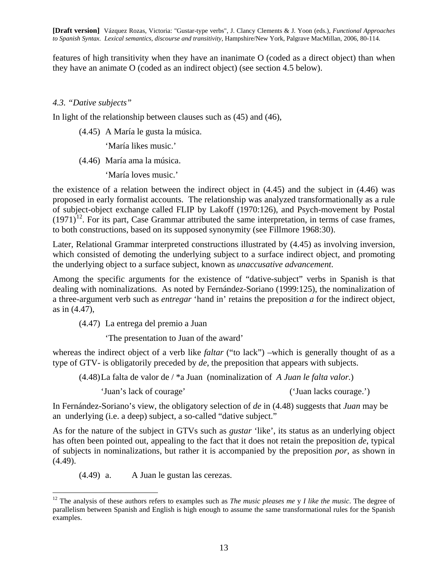features of high transitivity when they have an inanimate O (coded as a direct object) than when they have an animate O (coded as an indirect object) (see section 4.5 below).

### *4.3. "Dative subjects"*

In light of the relationship between clauses such as (45) and (46),

(4.45) A María le gusta la música.

'María likes music.'

(4.46) María ama la música.

'María loves music.'

the existence of a relation between the indirect object in (4.45) and the subject in (4.46) was proposed in early formalist accounts. The relationship was analyzed transformationally as a rule of subject-object exchange called FLIP by Lakoff (1970:126), and Psych-movement by Postal  $(1971)^{12}$ . For its part, Case Grammar attributed the same interpretation, in terms of case frames, to both constructions, based on its supposed synonymity (see Fillmore 1968:30).

Later, Relational Grammar interpreted constructions illustrated by (4.45) as involving inversion, which consisted of demoting the underlying subject to a surface indirect object, and promoting the underlying object to a surface subject, known as *unaccusative advancement*.

Among the specific arguments for the existence of "dative-subject" verbs in Spanish is that dealing with nominalizations. As noted by Fernández-Soriano (1999:125), the nominalization of a three-argument verb such as *entregar* 'hand in' retains the preposition *a* for the indirect object, as in (4.47),

(4.47) La entrega del premio a Juan

'The presentation to Juan of the award'

whereas the indirect object of a verb like *faltar* ("to lack") –which is generally thought of as a type of GTV- is obligatorily preceded by *de*, the preposition that appears with subjects.

(4.48)La falta de valor de / \*a Juan (nominalization of *A Juan le falta valor.*)

'Juan's lack of courage' ('Juan lacks courage.')

In Fernández-Soriano's view, the obligatory selection of *de* in (4.48) suggests that *Juan* may be an underlying (i.e. a deep) subject, a so-called "dative subject."

As for the nature of the subject in GTVs such as *gustar* 'like', its status as an underlying object has often been pointed out, appealing to the fact that it does not retain the preposition *de*, typical of subjects in nominalizations, but rather it is accompanied by the preposition *por*, as shown in  $(4.49)$ .

(4.49) a. A Juan le gustan las cerezas.

<span id="page-12-0"></span><sup>1</sup> 12 The analysis of these authors refers to examples such as *The music pleases me* y *I like the music*. The degree of parallelism between Spanish and English is high enough to assume the same transformational rules for the Spanish examples.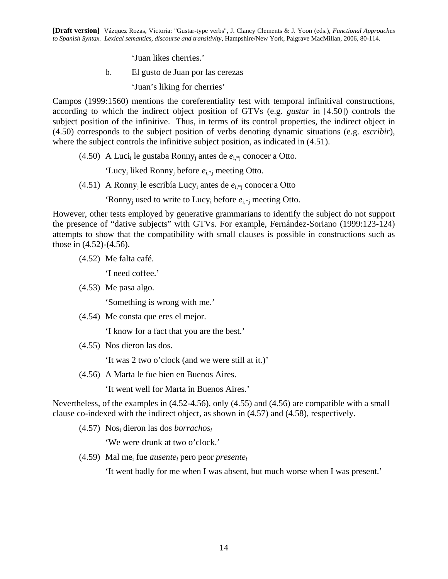'Juan likes cherries.'

b. El gusto de Juan por las cerezas

'Juan's liking for cherries'

Campos (1999:1560) mentions the coreferentiality test with temporal infinitival constructions, according to which the indirect object position of GTVs (e.g. *gustar* in [4.50]) controls the subject position of the infinitive. Thus, in terms of its control properties, the indirect object in (4.50) corresponds to the subject position of verbs denoting dynamic situations (e.g. *escribir*), where the subject controls the infinitive subject position, as indicated in  $(4.51)$ .

(4.50) A Luci<sub>i</sub> le gustaba Ronny<sub>i</sub> antes de  $e_{i,*i}$  conocer a Otto.

'Lucyi liked Ronnyj before *e*i,\*j meeting Otto.

(4.51) A Ronnyj le escribía Lucyi antes de *e*i,\*j conocer a Otto

'Ronnyj used to write to Lucyi before *e*i,\*j meeting Otto.

However, other tests employed by generative grammarians to identify the subject do not support the presence of "dative subjects" with GTVs. For example, Fernández-Soriano (1999:123-124) attempts to show that the compatibility with small clauses is possible in constructions such as those in (4.52)-(4.56).

(4.52) Me falta café.

'I need coffee.'

(4.53) Me pasa algo.

'Something is wrong with me.'

(4.54) Me consta que eres el mejor.

'I know for a fact that you are the best.'

(4.55) Nos dieron las dos.

'It was 2 two o'clock (and we were still at it.)'

(4.56) A Marta le fue bien en Buenos Aires.

'It went well for Marta in Buenos Aires.'

Nevertheless, of the examples in (4.52-4.56), only (4.55) and (4.56) are compatible with a small clause co-indexed with the indirect object, as shown in (4.57) and (4.58), respectively.

(4.57) Nosi dieron las dos *borrachosi*

'We were drunk at two o'clock.'

(4.59) Mal mei fue *ausentei* pero peor *presentei*

'It went badly for me when I was absent, but much worse when I was present.'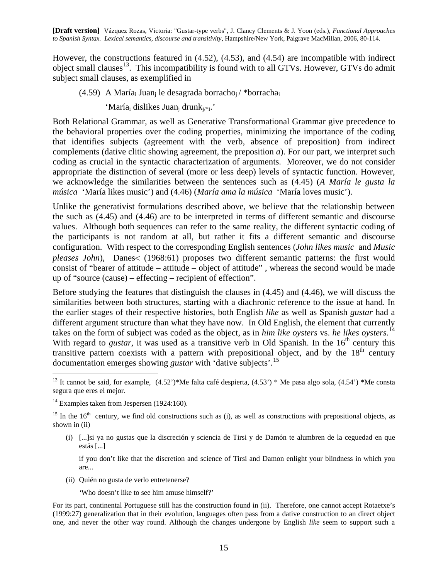However, the constructions featured in (4.52), (4.53), and (4.54) are incompatible with indirect object small clauses<sup>13</sup>. This incompatibility is found with to all GTVs. However, GTVs do admit subject small clauses, as exemplified in

(4.59) A María<sub>i</sub> Juan<sub>i</sub> le desagrada borracho<sub>i</sub> / \*borracha<sub>i</sub>

'María<sub>i</sub> dislikes Juan<sub>i</sub> drunk $_{i^*i}$ .'

Both Relational Grammar, as well as Generative Transformational Grammar give precedence to the behavioral properties over the coding properties, minimizing the importance of the coding that identifies subjects (agreement with the verb, absence of preposition) from indirect complements (dative clitic showing agreement, the preposition *a*). For our part, we interpret such coding as crucial in the syntactic characterization of arguments. Moreover, we do not consider appropriate the distinction of several (more or less deep) levels of syntactic function. However, we acknowledge the similarities between the sentences such as (4.45) (*A María le gusta la música* 'María likes music') and (4.46) (*María ama la música* 'María loves music').

Unlike the generativist formulations described above, we believe that the relationship between the such as (4.45) and (4.46) are to be interpreted in terms of different semantic and discourse values. Although both sequences can refer to the same reality, the different syntactic coding of the participants is not random at all, but rather it fits a different semantic and discourse configuration. With respect to the corresponding English sentences (*John likes music* and *Music pleases John*), Danes< (1968:61) proposes two different semantic patterns: the first would consist of "bearer of attitude – attitude – object of attitude" , whereas the second would be made up of "source (cause) – effecting – recipient of effection".

Before studying the features that distinguish the clauses in (4.45) and (4.46), we will discuss the similarities between both structures, starting with a diachronic reference to the issue at hand. In the earlier stages of their respective histories, both English *like* as well as Spanish *gustar* had a different argument structure than what they have now. In Old English, the element that currently takes on the form of subject was coded as the object, as in *him like oysters* vs. *he likes oysters.*[14](#page-14-1) With regard to *gustar*, it was used as a transitive verb in Old Spanish. In the 16<sup>th</sup> century this transitive pattern coexists with a pattern with prepositional object, and by the  $18<sup>th</sup>$  century documentation emerges showing *gustar* with 'dative subjects'.[15](#page-14-2)

 $\overline{a}$ 

<span id="page-14-2"></span><sup>15</sup> In the  $16<sup>th</sup>$  century, we find old constructions such as (i), as well as constructions with prepositional objects, as shown in (ii)

(i) [...]si ya no gustas que la discreción y sciencia de Tirsi y de Damón te alumbren de la ceguedad en que estás [...]

if you don't like that the discretion and science of Tirsi and Damon enlight your blindness in which you are...

- (ii) Quién no gusta de verlo entretenerse?
	- *'*Who doesn't like to see him amuse himself?'

For its part, continental Portuguese still has the construction found in (ii). Therefore, one cannot accept Rotaetxe's (1999:27) generalization that in their evolution, languages often pass from a dative construction to an direct object one, and never the other way round. Although the changes undergone by English *like* seem to support such a

<span id="page-14-0"></span><sup>&</sup>lt;sup>13</sup> It cannot be said, for example,  $(4.52')^*$ Me falta café despierta,  $(4.53')^*$  Me pasa algo sola,  $(4.54')^*$ Me consta segura que eres el mejor.

<span id="page-14-1"></span> $14$  Examples taken from Jespersen (1924:160).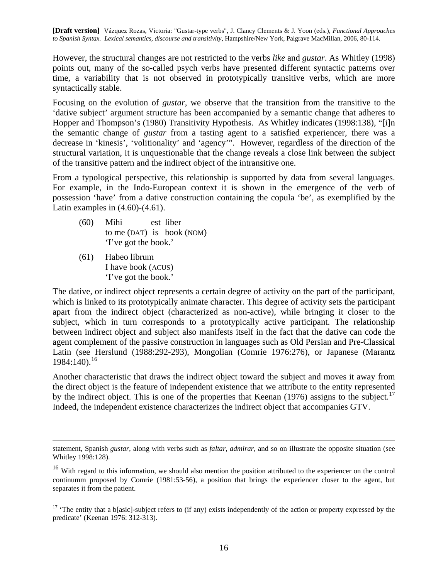However, the structural changes are not restricted to the verbs *like* and *gustar*. As Whitley (1998) points out, many of the so-called psych verbs have presented different syntactic patterns over time, a variability that is not observed in prototypically transitive verbs, which are more syntactically stable.

Focusing on the evolution of *gustar*, we observe that the transition from the transitive to the 'dative subject' argument structure has been accompanied by a semantic change that adheres to Hopper and Thompson's (1980) Transitivity Hypothesis. As Whitley indicates (1998:138), "[i]n the semantic change of *gustar* from a tasting agent to a satisfied experiencer, there was a decrease in 'kinesis', 'volitionality' and 'agency'". However, regardless of the direction of the structural variation, it is unquestionable that the change reveals a close link between the subject of the transitive pattern and the indirect object of the intransitive one.

From a typological perspective, this relationship is supported by data from several languages. For example, in the Indo-European context it is shown in the emergence of the verb of possession 'have' from a dative construction containing the copula 'be', as exemplified by the Latin examples in  $(4.60)-(4.61)$ .

- (60) Mihi est liber to me (DAT) is book (NOM) 'I've got the book.'
- (61) Habeo librum I have book (ACUS) 'I've got the book.'

The dative, or indirect object represents a certain degree of activity on the part of the participant, which is linked to its prototypically animate character. This degree of activity sets the participant apart from the indirect object (characterized as non-active), while bringing it closer to the subject, which in turn corresponds to a prototypically active participant. The relationship between indirect object and subject also manifests itself in the fact that the dative can code the agent complement of the passive construction in languages such as Old Persian and Pre-Classical Latin (see Herslund (1988:292-293), Mongolian (Comrie 1976:276), or Japanese (Marantz  $1984:140$ .<sup>[16](#page-15-0)</sup>

Another characteristic that draws the indirect object toward the subject and moves it away from the direct object is the feature of independent existence that we attribute to the entity represented by the indirect object. This is one of the properties that Keenan (1976) assigns to the subject.<sup>[17](#page-15-1)</sup> Indeed, the independent existence characterizes the indirect object that accompanies GTV.

statement, Spanish *gustar,* along with verbs such as *faltar*, *admirar*, and so on illustrate the opposite situation (see Whitley 1998:128).

<span id="page-15-0"></span><sup>&</sup>lt;sup>16</sup> With regard to this information, we should also mention the position attributed to the experiencer on the control continumm proposed by Comrie (1981:53-56), a position that brings the experiencer closer to the agent, but separates it from the patient.

<span id="page-15-1"></span><sup>&</sup>lt;sup>17</sup> 'The entity that a b[asic]-subject refers to (if any) exists independently of the action or property expressed by the predicate' (Keenan 1976: 312-313).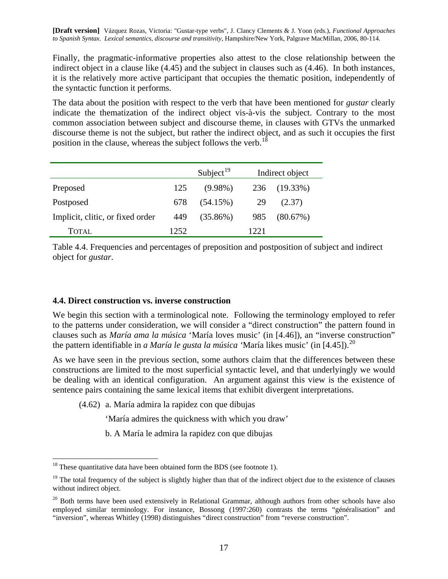Finally, the pragmatic-informative properties also attest to the close relationship between the indirect object in a clause like (4.45) and the subject in clauses such as (4.46). In both instances, it is the relatively more active participant that occupies the thematic position, independently of the syntactic function it performs.

The data about the position with respect to the verb that have been mentioned for *gustar* clearly indicate the thematization of the indirect object vis-à-vis the subject. Contrary to the most common association between subject and discourse theme, in clauses with GTVs the unmarked discourse theme is not the subject, but rather the indirect object, and as such it occupies the first position in the clause, whereas the subject follows the verb.<sup>[18](#page-16-0)</sup>

|                                  |      | Subject <sup>19</sup> | Indirect object |             |
|----------------------------------|------|-----------------------|-----------------|-------------|
| Preposed                         | 125  | $(9.98\%)$            | 236             | $(19.33\%)$ |
| Postposed                        | 678  | (54.15%)              | 29              | (2.37)      |
| Implicit, clitic, or fixed order | 449  | $(35.86\%)$           | 985             | (80.67%)    |
| Тотаі.                           | 1252 |                       | 1221            |             |

Table 4.4. Frequencies and percentages of preposition and postposition of subject and indirect object for *gustar*.

### **4.4. Direct construction vs. inverse construction**

We begin this section with a terminological note. Following the terminology employed to refer to the patterns under consideration, we will consider a "direct construction" the pattern found in clauses such as *María ama la música* 'María loves music' (in [4.46]), an "inverse construction" the pattern identifiable in *a María le gusta la música 'María likes music'* (in [4.45]).<sup>[20](#page-16-2)</sup>

As we have seen in the previous section, some authors claim that the differences between these constructions are limited to the most superficial syntactic level, and that underlyingly we would be dealing with an identical configuration. An argument against this view is the existence of sentence pairs containing the same lexical items that exhibit divergent interpretations.

(4.62) a. María admira la rapidez con que dibujas

'María admires the quickness with which you draw'

b. A María le admira la rapidez con que dibujas

1

<span id="page-16-0"></span><sup>&</sup>lt;sup>18</sup> These quantitative data have been obtained form the BDS (see footnote 1).

<span id="page-16-1"></span> $19$  The total frequency of the subject is slightly higher than that of the indirect object due to the existence of clauses without indirect object.

<span id="page-16-2"></span><sup>&</sup>lt;sup>20</sup> Both terms have been used extensively in Relational Grammar, although authors from other schools have also employed similar terminology. For instance, Bossong (1997:260) contrasts the terms "généralisation" and "inversion", whereas Whitley (1998) distinguishes "direct construction" from "reverse construction".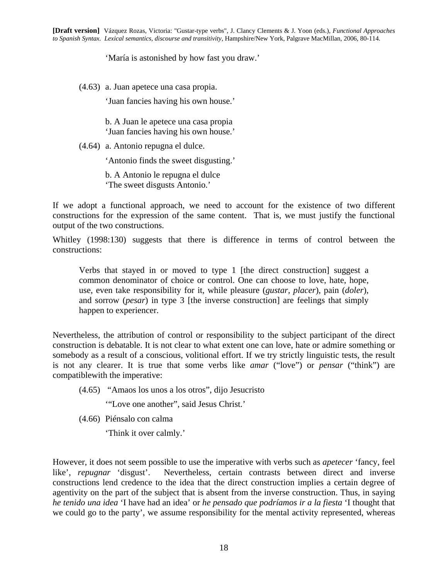'María is astonished by how fast you draw.'

(4.63) a. Juan apetece una casa propia.

'Juan fancies having his own house.'

b. A Juan le apetece una casa propia 'Juan fancies having his own house.'

(4.64) a. Antonio repugna el dulce.

'Antonio finds the sweet disgusting.'

b. A Antonio le repugna el dulce

'The sweet disgusts Antonio.'

If we adopt a functional approach, we need to account for the existence of two different constructions for the expression of the same content. That is, we must justify the functional output of the two constructions.

Whitley (1998:130) suggests that there is difference in terms of control between the constructions:

Verbs that stayed in or moved to type 1 [the direct construction] suggest a common denominator of choice or control. One can choose to love, hate, hope, use, even take responsibility for it, while pleasure (*gustar, placer*), pain (*doler*), and sorrow (*pesar*) in type 3 [the inverse construction] are feelings that simply happen to experiencer.

Nevertheless, the attribution of control or responsibility to the subject participant of the direct construction is debatable. It is not clear to what extent one can love, hate or admire something or somebody as a result of a conscious, volitional effort. If we try strictly linguistic tests, the result is not any clearer. It is true that some verbs like *amar* ("love") or *pensar* ("think") are compatiblewith the imperative:

(4.65) "Amaos los unos a los otros", dijo Jesucristo

'"Love one another", said Jesus Christ.'

(4.66) Piénsalo con calma

'Think it over calmly.'

However, it does not seem possible to use the imperative with verbs such as *apetecer* 'fancy, feel like', *repugnar* 'disgust'. Nevertheless, certain contrasts between direct and inverse constructions lend credence to the idea that the direct construction implies a certain degree of agentivity on the part of the subject that is absent from the inverse construction. Thus, in saying *he tenido una idea* 'I have had an idea' or *he pensado que podríamos ir a la fiesta* 'I thought that we could go to the party', we assume responsibility for the mental activity represented, whereas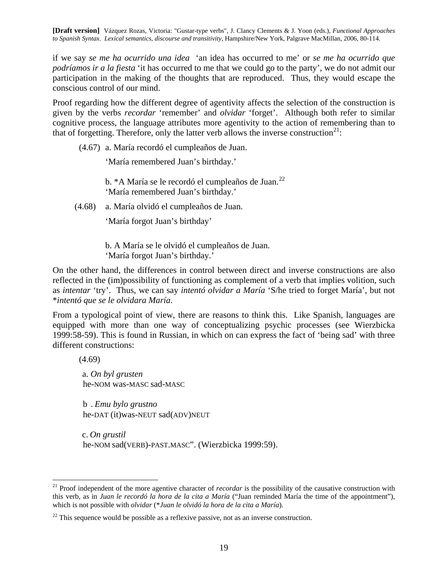if we say *se me ha ocurrido una idea* 'an idea has occurred to me' or *se me ha ocurrido que podríamos ir a la fiesta* 'it has occurred to me that we could go to the party', we do not admit our participation in the making of the thoughts that are reproduced. Thus, they would escape the conscious control of our mind.

Proof regarding how the different degree of agentivity affects the selection of the construction is given by the verbs *recordar* 'remember' and *olvidar* 'forget'. Although both refer to similar cognitive process, the language attributes more agentivity to the action of remembering than to that of forgetting. Therefore, only the latter verb allows the inverse construction<sup>[21](#page-18-0)</sup>:

(4.67) a. María recordó el cumpleaños de Juan.

'María remembered Juan's birthday.'

b. \*A María se le recordó el cumpleaños de Juan.<sup>[22](#page-18-1)</sup> 'María remembered Juan's birthday.'

(4.68) a. María olvidó el cumpleaños de Juan.

'María forgot Juan's birthday'

 b. A María se le olvidó el cumpleaños de Juan. 'María forgot Juan's birthday.'

On the other hand, the differences in control between direct and inverse constructions are also reflected in the (im)possibility of functioning as complement of a verb that implies volition, such as *intentar* 'try'. Thus, we can say *intentó olvidar a María* 'S/he tried to forget María', but not \**intentó que se le olvidara María*.

From a typological point of view, there are reasons to think this. Like Spanish, languages are equipped with more than one way of conceptualizing psychic processes (see Wierzbicka 1999:58-59). This is found in Russian, in which on can express the fact of 'being sad' with three different constructions:

 $(4.69)$ 

 $\overline{a}$ 

a. *On byl grusten* he-NOM was-MASC sad-MASC

 b . *Emu bylo grustno* he-DAT (it)was-NEUT sad(ADV)NEUT

 c. *On grustil* he-NOM sad(VERB)-PAST.MASC". (Wierzbicka 1999:59).

<span id="page-18-0"></span><sup>&</sup>lt;sup>21</sup> Proof independent of the more agentive character of *recordar* is the possibility of the causative construction with this verb, as in *Juan le recordó la hora de la cita a María* ("Juan reminded María the time of the appointment"), which is not possible with *olvidar* (\**Juan le olvidó la hora de la cita a María*).

<span id="page-18-1"></span> $22$  This sequence would be possible as a reflexive passive, not as an inverse construction.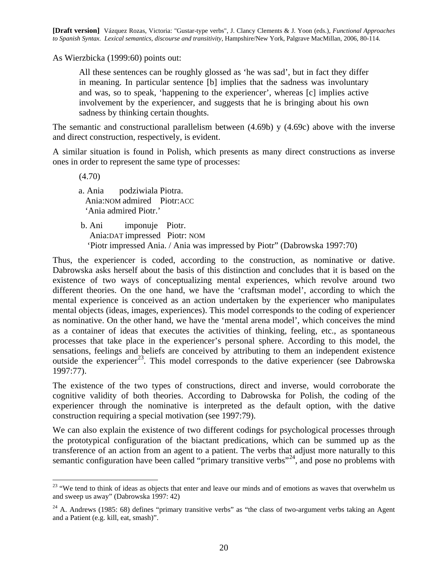As Wierzbicka (1999:60) points out:

All these sentences can be roughly glossed as 'he was sad', but in fact they differ in meaning. In particular sentence [b] implies that the sadness was involuntary and was, so to speak, 'happening to the experiencer', whereas [c] implies active involvement by the experiencer, and suggests that he is bringing about his own sadness by thinking certain thoughts.

The semantic and constructional parallelism between (4.69b) y (4.69c) above with the inverse and direct construction, respectively, is evident.

A similar situation is found in Polish, which presents as many direct constructions as inverse ones in order to represent the same type of processes:

 (4.70) a. Ania podziwiala Piotra. Ania:NOM admired Piotr:ACC 'Ania admired Piotr.'

 $\overline{a}$ 

 b. Ani imponuje Piotr. Ania:DAT impressed Piotr: NOM 'Piotr impressed Ania. / Ania was impressed by Piotr" (Dabrowska 1997:70)

Thus, the experiencer is coded, according to the construction, as nominative or dative. Dabrowska asks herself about the basis of this distinction and concludes that it is based on the existence of two ways of conceptualizing mental experiences, which revolve around two different theories. On the one hand, we have the 'craftsman model', according to which the mental experience is conceived as an action undertaken by the experiencer who manipulates mental objects (ideas, images, experiences). This model corresponds to the coding of experiencer as nominative. On the other hand, we have the 'mental arena model', which conceives the mind as a container of ideas that executes the activities of thinking, feeling, etc., as spontaneous processes that take place in the experiencer's personal sphere. According to this model, the sensations, feelings and beliefs are conceived by attributing to them an independent existence outside the experiencer<sup>23</sup>. This model corresponds to the dative experiencer (see Dabrowska 1997:77).

The existence of the two types of constructions, direct and inverse, would corroborate the cognitive validity of both theories. According to Dabrowska for Polish, the coding of the experiencer through the nominative is interpreted as the default option, with the dative construction requiring a special motivation (see 1997:79).

We can also explain the existence of two different codings for psychological processes through the prototypical configuration of the biactant predications, which can be summed up as the transference of an action from an agent to a patient. The verbs that adjust more naturally to this semantic configuration have been called "primary transitive verbs"<sup>24</sup>, and pose no problems with

<span id="page-19-0"></span> $23$  "We tend to think of ideas as objects that enter and leave our minds and of emotions as waves that overwhelm us and sweep us away" (Dabrowska 1997: 42)

<span id="page-19-1"></span> $24$  A. Andrews (1985: 68) defines "primary transitive verbs" as "the class of two-argument verbs taking an Agent and a Patient (e.g. kill, eat, smash)".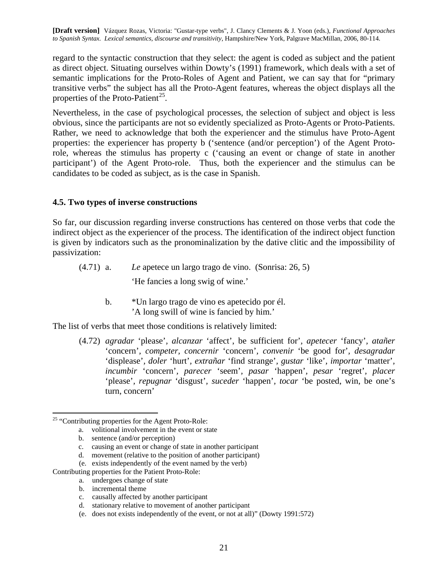regard to the syntactic construction that they select: the agent is coded as subject and the patient as direct object. Situating ourselves within Dowty's (1991) framework, which deals with a set of semantic implications for the Proto-Roles of Agent and Patient, we can say that for "primary transitive verbs" the subject has all the Proto-Agent features, whereas the object displays all the properties of the Proto-Patient<sup>25</sup>.

Nevertheless, in the case of psychological processes, the selection of subject and object is less obvious, since the participants are not so evidently specialized as Proto-Agents or Proto-Patients. Rather, we need to acknowledge that both the experiencer and the stimulus have Proto-Agent properties: the experiencer has property b ('sentence (and/or perception') of the Agent Protorole, whereas the stimulus has property c ('causing an event or change of state in another participant') of the Agent Proto-role. Thus, both the experiencer and the stimulus can be candidates to be coded as subject, as is the case in Spanish.

### **4.5. Two types of inverse constructions**

So far, our discussion regarding inverse constructions has centered on those verbs that code the indirect object as the experiencer of the process. The identification of the indirect object function is given by indicators such as the pronominalization by the dative clitic and the impossibility of passivization:

- (4.71) a. *Le* apetece un largo trago de vino. (Sonrisa: 26, 5) 'He fancies a long swig of wine.'
	- b. \*Un largo trago de vino es apetecido por él. 'A long swill of wine is fancied by him.'

The list of verbs that meet those conditions is relatively limited:

(4.72) *agradar* 'please'*, alcanzar* 'affect', be sufficient for'*, apetecer* 'fancy'*, atañer* 'concern'*, competer, concernir* 'concern'*, convenir* 'be good for'*, desagradar* 'displease'*, doler* 'hurt'*, extrañar* 'find strange'*, gustar* 'like'*, importar* 'matter'*, incumbir* 'concern'*, parecer* 'seem'*, pasar* 'happen'*, pesar* 'regret'*, placer* 'please'*, repugnar* 'disgust'*, suceder* 'happen'*, tocar* 'be posted, win, be one's turn, concern'

 $\overline{a}$ 

<span id="page-20-0"></span><sup>&</sup>lt;sup>25</sup> "Contributing properties for the Agent Proto-Role:

a. volitional involvement in the event or state

b. sentence (and/or perception)

c. causing an event or change of state in another participant

d. movement (relative to the position of another participant)

 <sup>(</sup>e. exists independently of the event named by the verb)

Contributing properties for the Patient Proto-Role:

a. undergoes change of state

b. incremental theme

c. causally affected by another participant

d. stationary relative to movement of another participant

<sup>(</sup>e. does not exists independently of the event, or not at all)" (Dowty 1991:572)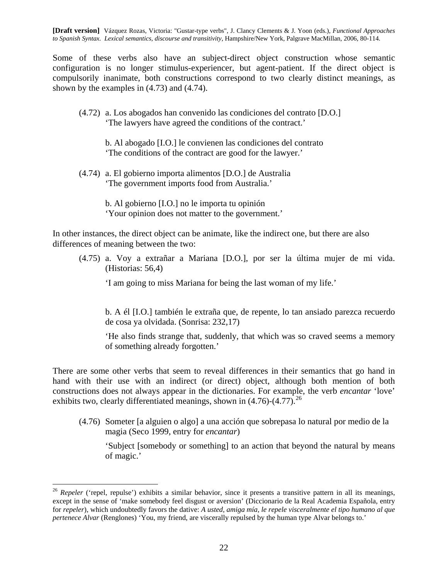Some of these verbs also have an subject-direct object construction whose semantic configuration is no longer stimulus-experiencer, but agent-patient. If the direct object is compulsorily inanimate, both constructions correspond to two clearly distinct meanings, as shown by the examples in (4.73) and (4.74).

(4.72) a. Los abogados han convenido las condiciones del contrato [D.O.] 'The lawyers have agreed the conditions of the contract.'

> b. Al abogado [I.O.] le convienen las condiciones del contrato 'The conditions of the contract are good for the lawyer.'

(4.74) a. El gobierno importa alimentos [D.O.] de Australia 'The government imports food from Australia.'

> b. Al gobierno [I.O.] no le importa tu opinión 'Your opinion does not matter to the government.'

In other instances, the direct object can be animate, like the indirect one, but there are also differences of meaning between the two:

(4.75) a. Voy a extrañar a Mariana [D.O.], por ser la última mujer de mi vida. (Historias: 56,4)

'I am going to miss Mariana for being the last woman of my life.'

b. A él [I.O.] también le extraña que, de repente, lo tan ansiado parezca recuerdo de cosa ya olvidada. (Sonrisa: 232,17)

'He also finds strange that, suddenly, that which was so craved seems a memory of something already forgotten.'

There are some other verbs that seem to reveal differences in their semantics that go hand in hand with their use with an indirect (or direct) object, although both mention of both constructions does not always appear in the dictionaries. For example, the verb *encantar* 'love' exhibits two, clearly differentiated meanings, shown in  $(4.76)-(4.77)$ .<sup>[26](#page-21-0)</sup>

(4.76) Someter [a alguien o algo] a una acción que sobrepasa lo natural por medio de la magia (Seco 1999, entry for *encantar*)

 'Subject [somebody or something] to an action that beyond the natural by means of magic.'

 $\overline{a}$ 

<span id="page-21-0"></span><sup>&</sup>lt;sup>26</sup> *Repeler* ('repel, repulse') exhibits a similar behavior, since it presents a transitive pattern in all its meanings, except in the sense of 'make somebody feel disgust or aversion' (Diccionario de la Real Academia Española, entry for *repeler*), which undoubtedly favors the dative: *A usted, amiga mía, le repele visceralmente el tipo humano al que pertenece Alvar* (Renglones) 'You, my friend, are viscerally repulsed by the human type Alvar belongs to.'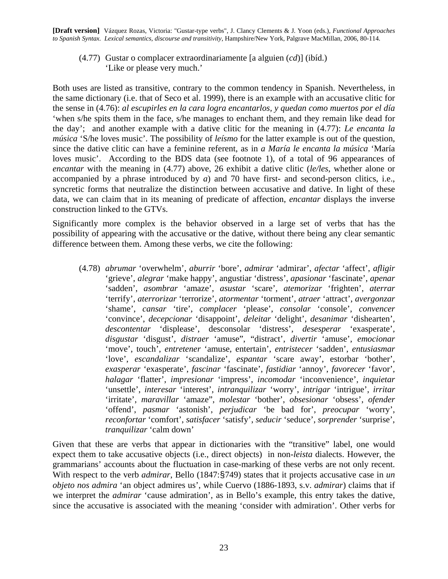(4.77) Gustar o complacer extraordinariamente [a alguien (*cd*)] (ibíd.) 'Like or please very much.'

Both uses are listed as transitive, contrary to the common tendency in Spanish. Nevertheless, in the same dictionary (i.e. that of Seco et al. 1999), there is an example with an accusative clitic for the sense in (4.76): *al escupirles en la cara logra encantarlos, y quedan como muertos por el día* 'when s/he spits them in the face, s/he manages to enchant them, and they remain like dead for the day'; and another example with a dative clitic for the meaning in (4.77): *Le encanta la música* 'S/he loves music'. The possibility of *leísmo* for the latter example is out of the question, since the dative clitic can have a feminine referent, as in *a María le encanta la música* 'María loves music'. According to the BDS data (see footnote 1), of a total of 96 appearances of *encantar* with the meaning in (4.77) above, 26 exhibit a dative clitic (*le/les*, whether alone or accompanied by a phrase introduced by *a*) and 70 have first- and second-person clitics, i.e., syncretic forms that neutralize the distinction between accusative and dative. In light of these data, we can claim that in its meaning of predicate of affection, *encantar* displays the inverse construction linked to the GTVs.

Significantly more complex is the behavior observed in a large set of verbs that has the possibility of appearing with the accusative or the dative, without there being any clear semantic difference between them. Among these verbs, we cite the following:

(4.78) *abrumar* 'overwhelm', *aburrir* 'bore', *admirar* 'admirar', *afectar* 'affect', *afligir* 'grieve', *alegrar* 'make happy', angustiar 'distress', *apasionar* 'fascinate', *apenar* 'sadden', *asombrar* 'amaze', *asustar* 'scare', *atemorizar* 'frighten', *aterrar* 'terrify', *aterrorizar* 'terrorize', *atormentar* 'torment', *atraer* 'attract', *avergonzar* 'shame', *cansar* 'tire', *complacer* 'please', *consolar* 'console', *convencer* 'convince', *decepcionar* 'disappoint', *deleitar* 'delight', *desanimar* 'dishearten', *descontentar* 'displease', desconsolar 'distress', *desesperar* 'exasperate', *disgustar* 'disgust', *distraer* 'amuse", "distract', *divertir* 'amuse', *emocionar* 'move', touch', *entretener* 'amuse, entertain', *entristecer* 'sadden', *entusiasmar* 'love', *escandalizar* 'scandalize', *espantar* 'scare away', estorbar 'bother', *exasperar* 'exasperate', *fascinar* 'fascinate', *fastidiar* 'annoy', *favorecer* 'favor', *halagar* 'flatter', *impresionar* 'impress', *incomodar* 'inconvenience', *inquietar* 'unsettle', *interesar* 'interest', *intranquilizar* 'worry', *intrigar* 'intrigue', *irritar* 'irritate', *maravillar* 'amaze", *molestar* 'bother', *obsesionar* 'obsess', *ofender* 'offend', *pasmar* 'astonish', *perjudicar* 'be bad for', *preocupar* 'worry', *reconfortar* 'comfort', *satisfacer* 'satisfy', *seducir* 'seduce', *sorprender* 'surprise', *tranquilizar* 'calm down'

Given that these are verbs that appear in dictionaries with the "transitive" label, one would expect them to take accusative objects (i.e., direct objects) in non-*leista* dialects. However, the grammarians' accounts about the fluctuation in case-marking of these verbs are not only recent. With respect to the verb *admirar*, Bello (1847:§749) states that it projects accusative case in *un objeto nos admira* 'an object admires us', while Cuervo (1886-1893, s.v. *admirar*) claims that if we interpret the *admirar* 'cause admiration', as in Bello's example, this entry takes the dative, since the accusative is associated with the meaning 'consider with admiration'. Other verbs for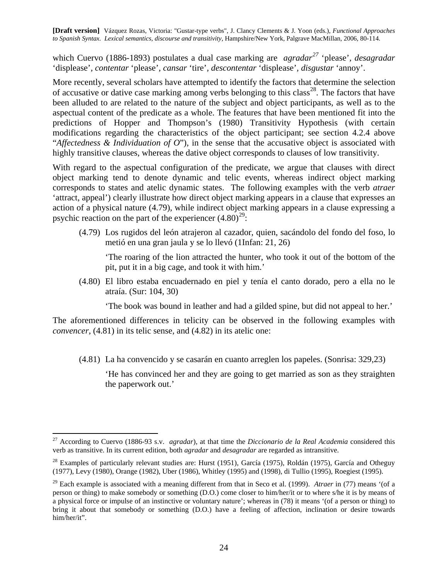which Cuervo (1886-1893) postulates a dual case marking are *agradar[27](#page-23-0)* 'please'*, desagradar* 'displease'*, contentar* 'please'*, cansar* 'tire'*, descontentar* 'displease'*, disgustar* 'annoy'.

More recently, several scholars have attempted to identify the factors that determine the selection of accusative or dative case marking among verbs belonging to this class<sup>[28](#page-23-1)</sup>. The factors that have been alluded to are related to the nature of the subject and object participants, as well as to the aspectual content of the predicate as a whole. The features that have been mentioned fit into the predictions of Hopper and Thompson's (1980) Transitivity Hypothesis (with certain modifications regarding the characteristics of the object participant; see section 4.2.4 above "*Affectedness & Individuation of O*"), in the sense that the accusative object is associated with highly transitive clauses, whereas the dative object corresponds to clauses of low transitivity.

With regard to the aspectual configuration of the predicate, we argue that clauses with direct object marking tend to denote dynamic and telic events, whereas indirect object marking corresponds to states and atelic dynamic states. The following examples with the verb *atraer* 'attract, appeal') clearly illustrate how direct object marking appears in a clause that expresses an action of a physical nature (4.79), while indirect object marking appears in a clause expressing a psychic reaction on the part of the experiencer  $(4.80)^{29}$ :

(4.79) Los rugidos del león atrajeron al cazador, quien, sacándolo del fondo del foso, lo metió en una gran jaula y se lo llevó (1Infan: 21, 26)

'The roaring of the lion attracted the hunter, who took it out of the bottom of the pit, put it in a big cage, and took it with him.'

(4.80) El libro estaba encuadernado en piel y tenía el canto dorado, pero a ella no le atraía. (Sur: 104, 30)

'The book was bound in leather and had a gilded spine, but did not appeal to her.'

The aforementioned differences in telicity can be observed in the following examples with *convencer*,  $(4.81)$  in its telic sense, and  $(4.82)$  in its atelic one:

(4.81) La ha convencido y se casarán en cuanto arreglen los papeles. (Sonrisa: 329,23)

'He has convinced her and they are going to get married as son as they straighten the paperwork out.'

 $\overline{a}$ 

<span id="page-23-0"></span><sup>27</sup> According to Cuervo (1886-93 s.v. *agradar*), at that time the *Diccionario de la Real Academia* considered this verb as transitive. In its current edition, both *agradar* and *desagradar* are regarded as intransitive.

<span id="page-23-1"></span> $^{28}$  Examples of particularly relevant studies are: Hurst (1951), García (1975), Roldán (1975), García and Otheguy (1977), Levy (1980), Orange (1982), Uber (1986), Whitley (1995) and (1998), di Tullio (1995), Roegiest (1995).

<span id="page-23-2"></span><sup>29</sup> Each example is associated with a meaning different from that in Seco et al. (1999). *Atraer* in (77) means '(of a person or thing) to make somebody or something (D.O.) come closer to him/her/it or to where s/he it is by means of a physical force or impulse of an instinctive or voluntary nature'; whereas in (78) it means '(of a person or thing) to bring it about that somebody or something (D.O.) have a feeling of affection, inclination or desire towards him/her/it".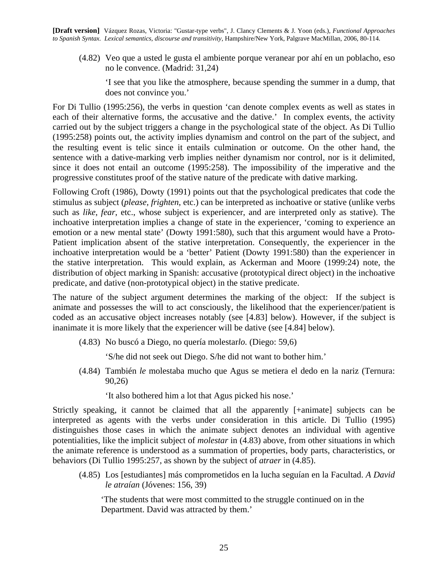(4.82) Veo que a usted le gusta el ambiente porque veranear por ahí en un poblacho, eso no le convence. (Madrid: 31,24)

'I see that you like the atmosphere, because spending the summer in a dump, that does not convince you.'

For Di Tullio (1995:256), the verbs in question 'can denote complex events as well as states in each of their alternative forms, the accusative and the dative.' In complex events, the activity carried out by the subject triggers a change in the psychological state of the object. As Di Tullio (1995:258) points out, the activity implies dynamism and control on the part of the subject, and the resulting event is telic since it entails culmination or outcome. On the other hand, the sentence with a dative-marking verb implies neither dynamism nor control, nor is it delimited, since it does not entail an outcome (1995:258). The impossibility of the imperative and the progressive constitutes proof of the stative nature of the predicate with dative marking.

Following Croft (1986), Dowty (1991) points out that the psychological predicates that code the stimulus as subject (*please, frighten*, etc.) can be interpreted as inchoative or stative (unlike verbs such as *like*, *fear*, etc., whose subject is experiencer, and are interpreted only as stative). The inchoative interpretation implies a change of state in the experiencer, 'coming to experience an emotion or a new mental state' (Dowty 1991:580), such that this argument would have a Proto-Patient implication absent of the stative interpretation. Consequently, the experiencer in the inchoative interpretation would be a 'better' Patient (Dowty 1991:580) than the experiencer in the stative interpretation. This would explain, as Ackerman and Moore (1999:24) note, the distribution of object marking in Spanish: accusative (prototypical direct object) in the inchoative predicate, and dative (non-prototypical object) in the stative predicate.

The nature of the subject argument determines the marking of the object: If the subject is animate and possesses the will to act consciously, the likelihood that the experiencer/patient is coded as an accusative object increases notably (see [4.83] below). However, if the subject is inanimate it is more likely that the experiencer will be dative (see [4.84] below).

(4.83) No buscó a Diego, no quería molestar*lo.* (Diego: 59,6)

'S/he did not seek out Diego. S/he did not want to bother him.'

- (4.84) También *le* molestaba mucho que Agus se metiera el dedo en la nariz (Ternura: 90,26)
	- 'It also bothered him a lot that Agus picked his nose.'

Strictly speaking, it cannot be claimed that all the apparently [+animate] subjects can be interpreted as agents with the verbs under consideration in this article. Di Tullio (1995) distinguishes those cases in which the animate subject denotes an individual with agentive potentialities, like the implicit subject of *molestar* in (4.83) above, from other situations in which the animate reference is understood as a summation of properties, body parts, characteristics, or behaviors (Di Tullio 1995:257, as shown by the subject of *atraer* in (4.85).

(4.85) Los [estudiantes] más comprometidos en la lucha seguían en la Facultad. *A David le atraían* (Jóvenes: 156, 39)

 'The students that were most committed to the struggle continued on in the Department. David was attracted by them.'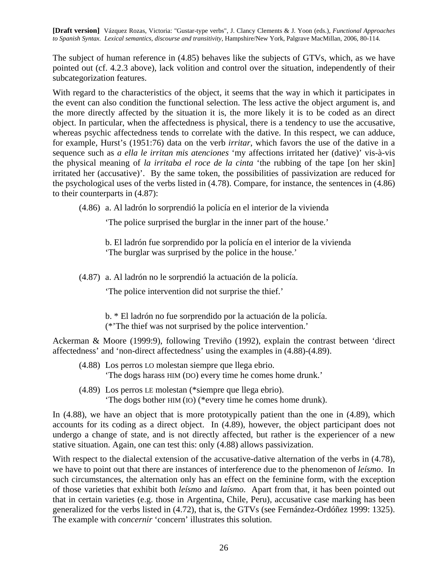The subject of human reference in (4.85) behaves like the subjects of GTVs, which, as we have pointed out (cf. 4.2.3 above), lack volition and control over the situation, independently of their subcategorization features.

With regard to the characteristics of the object, it seems that the way in which it participates in the event can also condition the functional selection. The less active the object argument is, and the more directly affected by the situation it is, the more likely it is to be coded as an direct object. In particular, when the affectedness is physical, there is a tendency to use the accusative, whereas psychic affectedness tends to correlate with the dative. In this respect, we can adduce, for example, Hurst's (1951:76) data on the verb *irritar*, which favors the use of the dative in a sequence such as *a ella le irritan mis atenciones* 'my affections irritated her (dative)' vis-à-vis the physical meaning of *la irritaba el roce de la cinta* 'the rubbing of the tape [on her skin] irritated her (accusative)'. By the same token, the possibilities of passivization are reduced for the psychological uses of the verbs listed in (4.78). Compare, for instance, the sentences in (4.86) to their counterparts in (4.87):

(4.86) a. Al ladrón lo sorprendió la policía en el interior de la vivienda

'The police surprised the burglar in the inner part of the house.'

 b. El ladrón fue sorprendido por la policía en el interior de la vivienda 'The burglar was surprised by the police in the house.'

(4.87) a. Al ladrón no le sorprendió la actuación de la policía.

'The police intervention did not surprise the thief.'

b. \* El ladrón no fue sorprendido por la actuación de la policía.

(\*'The thief was not surprised by the police intervention.'

Ackerman & Moore (1999:9), following Treviño (1992), explain the contrast between 'direct affectedness' and 'non-direct affectedness' using the examples in (4.88)-(4.89).

- (4.88) Los perros LO molestan siempre que llega ebrio. 'The dogs harass HIM (DO) every time he comes home drunk.'
- (4.89) Los perros LE molestan (\*siempre que llega ebrio). 'The dogs bother HIM (IO) (\*every time he comes home drunk).

In (4.88), we have an object that is more prototypically patient than the one in (4.89), which accounts for its coding as a direct object. In (4.89), however, the object participant does not undergo a change of state, and is not directly affected, but rather is the experiencer of a new stative situation. Again, one can test this: only (4.88) allows passivization.

With respect to the dialectal extension of the accusative-dative alternation of the verbs in  $(4.78)$ , we have to point out that there are instances of interference due to the phenomenon of *leísmo*. In such circumstances, the alternation only has an effect on the feminine form, with the exception of those varieties that exhibit both *leísmo* and *laísmo*. Apart from that, it has been pointed out that in certain varieties (e.g. those in Argentina, Chile, Peru), accusative case marking has been generalized for the verbs listed in (4.72), that is, the GTVs (see Fernández-Ordóñez 1999: 1325). The example with *concernir* 'concern' illustrates this solution.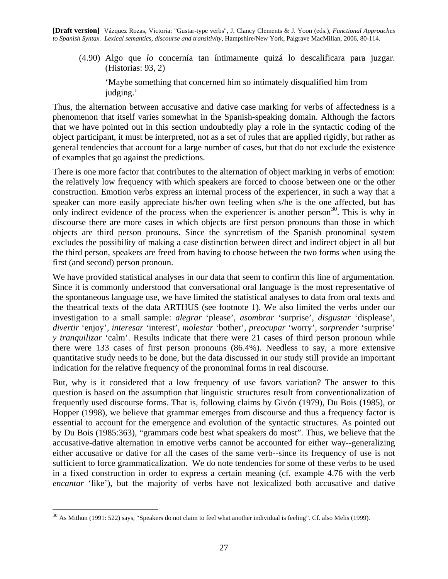(4.90) Algo que *lo* concernía tan íntimamente quizá lo descalificara para juzgar. (Historias: 93, 2)

 'Maybe something that concerned him so intimately disqualified him from judging.'

Thus, the alternation between accusative and dative case marking for verbs of affectedness is a phenomenon that itself varies somewhat in the Spanish-speaking domain. Although the factors that we have pointed out in this section undoubtedly play a role in the syntactic coding of the object participant, it must be interpreted, not as a set of rules that are applied rigidly, but rather as general tendencies that account for a large number of cases, but that do not exclude the existence of examples that go against the predictions.

There is one more factor that contributes to the alternation of object marking in verbs of emotion: the relatively low frequency with which speakers are forced to choose between one or the other construction. Emotion verbs express an internal process of the experiencer, in such a way that a speaker can more easily appreciate his/her own feeling when s/he is the one affected, but has only indirect evidence of the process when the experiencer is another person<sup>30</sup>. This is why in discourse there are more cases in which objects are first person pronouns than those in which objects are third person pronouns. Since the syncretism of the Spanish pronominal system excludes the possibility of making a case distinction between direct and indirect object in all but the third person, speakers are freed from having to choose between the two forms when using the first (and second) person pronoun.

We have provided statistical analyses in our data that seem to confirm this line of argumentation. Since it is commonly understood that conversational oral language is the most representative of the spontaneous language use, we have limited the statistical analyses to data from oral texts and the theatrical texts of the data ARTHUS (see footnote 1). We also limited the verbs under our investigation to a small sample: *alegrar* 'please'*, asombrar* 'surprise'*, disgustar* 'displease', *divertir* 'enjoy'*, interesar* 'interest'*, molestar* 'bother'*, preocupar* 'worry'*, sorprender* 'surprise' *y tranquilizar* 'calm'. Results indicate that there were 21 cases of third person pronoun while there were 133 cases of first person pronouns (86.4%). Needless to say, a more extensive quantitative study needs to be done, but the data discussed in our study still provide an important indication for the relative frequency of the pronominal forms in real discourse.

But, why is it considered that a low frequency of use favors variation? The answer to this question is based on the assumption that linguistic structures result from conventionalization of frequently used discourse forms. That is, following claims by Givón (1979), Du Bois (1985), or Hopper (1998), we believe that grammar emerges from discourse and thus a frequency factor is essential to account for the emergence and evolution of the syntactic structures. As pointed out by Du Bois (1985:363), "grammars code best what speakers do most". Thus, we believe that the accusative-dative alternation in emotive verbs cannot be accounted for either way--generalizing either accusative or dative for all the cases of the same verb--since its frequency of use is not sufficient to force grammaticalization. We do note tendencies for some of these verbs to be used in a fixed construction in order to express a certain meaning (cf. example 4.76 with the verb *encantar* 'like'), but the majority of verbs have not lexicalized both accusative and dative

 $\overline{a}$ 

<span id="page-26-0"></span> $30$  As Mithun (1991: 522) says, "Speakers do not claim to feel what another individual is feeling". Cf. also Melis (1999).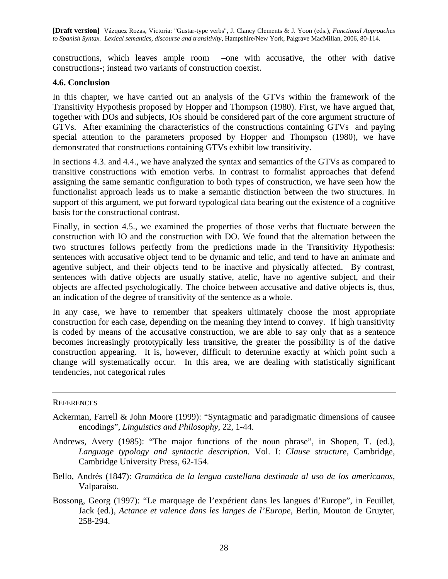constructions, which leaves ample room –one with accusative, the other with dative constructions-; instead two variants of construction coexist.

### **4.6. Conclusion**

In this chapter, we have carried out an analysis of the GTVs within the framework of the Transitivity Hypothesis proposed by Hopper and Thompson (1980). First, we have argued that, together with DOs and subjects, IOs should be considered part of the core argument structure of GTVs. After examining the characteristics of the constructions containing GTVs and paying special attention to the parameters proposed by Hopper and Thompson (1980), we have demonstrated that constructions containing GTVs exhibit low transitivity.

In sections 4.3. and 4.4., we have analyzed the syntax and semantics of the GTVs as compared to transitive constructions with emotion verbs. In contrast to formalist approaches that defend assigning the same semantic configuration to both types of construction, we have seen how the functionalist approach leads us to make a semantic distinction between the two structures. In support of this argument, we put forward typological data bearing out the existence of a cognitive basis for the constructional contrast.

Finally, in section 4.5., we examined the properties of those verbs that fluctuate between the construction with IO and the construction with DO. We found that the alternation between the two structures follows perfectly from the predictions made in the Transitivity Hypothesis: sentences with accusative object tend to be dynamic and telic, and tend to have an animate and agentive subject, and their objects tend to be inactive and physically affected. By contrast, sentences with dative objects are usually stative, atelic, have no agentive subject, and their objects are affected psychologically. The choice between accusative and dative objects is, thus, an indication of the degree of transitivity of the sentence as a whole.

In any case, we have to remember that speakers ultimately choose the most appropriate construction for each case, depending on the meaning they intend to convey. If high transitivity is coded by means of the accusative construction, we are able to say only that as a sentence becomes increasingly prototypically less transitive, the greater the possibility is of the dative construction appearing. It is, however, difficult to determine exactly at which point such a change will systematically occur. In this area, we are dealing with statistically significant tendencies, not categorical rules

#### **REFERENCES**

- Ackerman, Farrell & John Moore (1999): "Syntagmatic and paradigmatic dimensions of causee encodings", *Linguistics and Philosophy*, 22, 1-44.
- Andrews, Avery (1985): "The major functions of the noun phrase", in Shopen, T. (ed.), *Language typology and syntactic description.* Vol. I: *Clause structure*, Cambridge, Cambridge University Press, 62-154.
- Bello, Andrés (1847): *Gramática de la lengua castellana destinada al uso de los americanos*, Valparaíso.
- Bossong, Georg (1997): "Le marquage de l'expérient dans les langues d'Europe", in Feuillet, Jack (ed.), *Actance et valence dans les langes de l'Europe*, Berlin, Mouton de Gruyter, 258-294.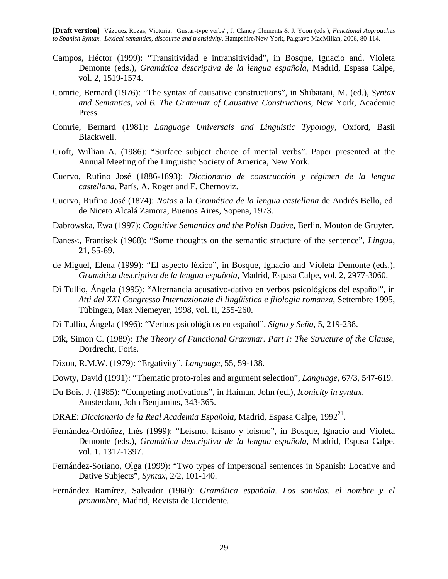- Campos, Héctor (1999): "Transitividad e intransitividad", in Bosque, Ignacio and. Violeta Demonte (eds.), *Gramática descriptiva de la lengua española*, Madrid, Espasa Calpe, vol. 2, 1519-1574.
- Comrie, Bernard (1976): "The syntax of causative constructions", in Shibatani, M. (ed.), *Syntax and Semantics, vol 6. The Grammar of Causative Constructions*, New York, Academic Press.
- Comrie, Bernard (1981): *Language Universals and Linguistic Typology*, Oxford, Basil Blackwell.
- Croft, Willian A. (1986): "Surface subject choice of mental verbs". Paper presented at the Annual Meeting of the Linguistic Society of America, New York.
- Cuervo, Rufino José (1886-1893): *Diccionario de construcción y régimen de la lengua castellana*, París, A. Roger and F. Chernoviz.
- Cuervo, Rufino José (1874): *Notas* a la *Gramática de la lengua castellana* de Andrés Bello, ed. de Niceto Alcalá Zamora, Buenos Aires, Sopena, 1973.
- Dabrowska, Ewa (1997): *Cognitive Semantics and the Polish Dative*, Berlin, Mouton de Gruyter.
- Danes<, Frantisek (1968): "Some thoughts on the semantic structure of the sentence", *Lingua*, 21, 55-69.
- de Miguel, Elena (1999): "El aspecto léxico", in Bosque, Ignacio and Violeta Demonte (eds.), *Gramática descriptiva de la lengua española*, Madrid, Espasa Calpe, vol. 2, 2977-3060.
- Di Tullio, Ángela (1995): "Alternancia acusativo-dativo en verbos psicológicos del español", in *Atti del XXI Congresso Internazionale di lingüística e filologia romanza*, Settembre 1995, Tübingen, Max Niemeyer, 1998, vol. II, 255-260.
- Di Tullio, Ángela (1996): "Verbos psicológicos en español", *Signo y Seña*, 5, 219-238.
- Dik, Simon C. (1989): *The Theory of Functional Grammar. Part I: The Structure of the Clause*, Dordrecht, Foris.
- Dixon, R.M.W. (1979): "Ergativity", *Language*, 55, 59-138.

Dowty, David (1991): "Thematic proto-roles and argument selection", *Language*, 67/3, 547-619.

- Du Bois, J. (1985): "Competing motivations", in Haiman, John (ed.), *Iconicity in syntax*, Amsterdam, John Benjamins, 343-365.
- DRAE: *Diccionario de la Real Academia Española*, Madrid, Espasa Calpe, 199221.
- Fernández-Ordóñez, Inés (1999): "Leísmo, laísmo y loísmo", in Bosque, Ignacio and Violeta Demonte (eds.), *Gramática descriptiva de la lengua española*, Madrid, Espasa Calpe, vol. 1, 1317-1397.
- Fernández-Soriano, Olga (1999): "Two types of impersonal sentences in Spanish: Locative and Dative Subjects", *Syntax*, 2/2, 101-140.
- Fernández Ramírez, Salvador (1960): *Gramática española. Los sonidos, el nombre y el pronombre*, Madrid, Revista de Occidente.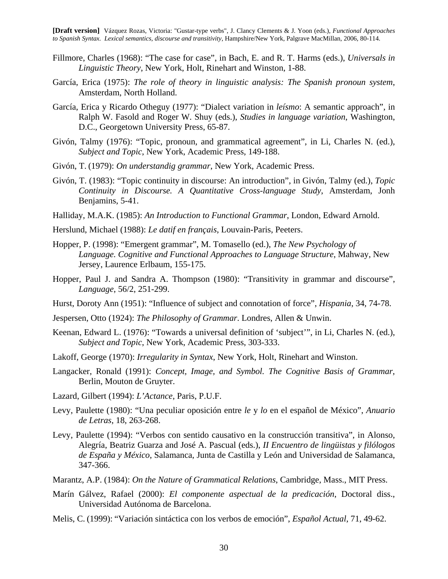- Fillmore, Charles (1968): "The case for case", in Bach, E. and R. T. Harms (eds.), *Universals in Linguistic Theory*, New York, Holt, Rinehart and Winston, 1-88.
- García, Erica (1975): *The role of theory in linguistic analysis: The Spanish pronoun system*, Amsterdam, North Holland.
- García, Erica y Ricardo Otheguy (1977): "Dialect variation in *leísmo*: A semantic approach", in Ralph W. Fasold and Roger W. Shuy (eds.), *Studies in language variation*, Washington, D.C., Georgetown University Press, 65-87.
- Givón, Talmy (1976): "Topic, pronoun, and grammatical agreement", in Li, Charles N. (ed.), *Subject and Topic*, New York, Academic Press, 149-188.
- Givón, T. (1979): *On understandig grammar*, New York, Academic Press.
- Givón, T. (1983): "Topic continuity in discourse: An introduction", in Givón, Talmy (ed.), *Topic Continuity in Discourse. A Quantitative Cross-language Study*, Amsterdam, Jonh Benjamins, 5-41.
- Halliday, M.A.K. (1985): *An Introduction to Functional Grammar*, London, Edward Arnold.
- Herslund, Michael (1988): *Le datif en français*, Louvain-Paris, Peeters.
- Hopper, P. (1998): "Emergent grammar", M. Tomasello (ed.), *The New Psychology of Language. Cognitive and Functional Approaches to Language Structure*, Mahway, New Jersey, Laurence Erlbaum, 155-175.
- Hopper, Paul J. and Sandra A. Thompson (1980): "Transitivity in grammar and discourse", *Language*, 56/2, 251-299.
- Hurst, Doroty Ann (1951): "Influence of subject and connotation of force", *Hispania*, 34, 74-78.
- Jespersen, Otto (1924): *The Philosophy of Grammar*. Londres, Allen & Unwin.
- Keenan, Edward L. (1976): "Towards a universal definition of 'subject'", in Li, Charles N. (ed.), *Subject and Topic*, New York, Academic Press, 303-333.
- Lakoff, George (1970): *Irregularity in Syntax*, New York, Holt, Rinehart and Winston.
- Langacker, Ronald (1991): *Concept, Image, and Symbol. The Cognitive Basis of Grammar*, Berlin, Mouton de Gruyter.
- Lazard, Gilbert (1994): *L'Actance*, Paris, P.U.F.
- Levy, Paulette (1980): "Una peculiar oposición entre *le* y *lo* en el español de México", *Anuario de Letras*, 18, 263-268.
- Levy, Paulette (1994): "Verbos con sentido causativo en la construcción transitiva", in Alonso, Alegría, Beatriz Guarza and José A. Pascual (eds.), *II Encuentro de lingüistas y filólogos de España y México*, Salamanca, Junta de Castilla y León and Universidad de Salamanca, 347-366.
- Marantz, A.P. (1984): *On the Nature of Grammatical Relations*, Cambridge, Mass., MIT Press.
- Marín Gálvez, Rafael (2000): *El componente aspectual de la predicación*, Doctoral diss., Universidad Autónoma de Barcelona.
- Melis, C. (1999): "Variación sintáctica con los verbos de emoción", *Español Actual*, 71, 49-62.